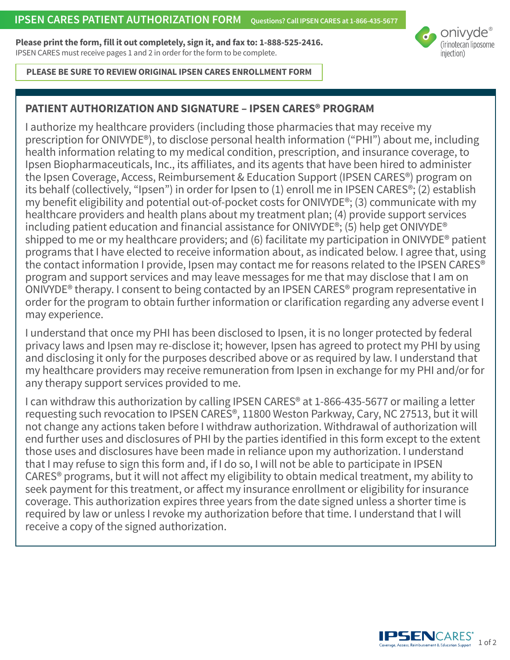**Please print the form, fill it out completely, sign it, and fax to: 1-888-525-2416.**  IPSEN CARES must receive pages 1 and 2 in order for the form to be complete.



#### **PLEASE BE SURE TO REVIEW ORIGINAL IPSEN CARES ENROLLMENT FORM**

## **PATIENT AUTHORIZATION AND SIGNATURE – IPSEN CARES® PROGRAM**

I authorize my healthcare providers (including those pharmacies that may receive my prescription for ONIVYDE®), to disclose personal health information ("PHI") about me, including health information relating to my medical condition, prescription, and insurance coverage, to Ipsen Biopharmaceuticals, Inc., its affiliates, and its agents that have been hired to administer the Ipsen Coverage, Access, Reimbursement & Education Support (IPSEN CARES®) program on its behalf (collectively, "Ipsen") in order for Ipsen to (1) enroll me in IPSEN CARES®; (2) establish my benefit eligibility and potential out-of-pocket costs for ONIVYDE®; (3) communicate with my healthcare providers and health plans about my treatment plan; (4) provide support services including patient education and financial assistance for ONIVYDE®; (5) help get ONIVYDE® shipped to me or my healthcare providers; and (6) facilitate my participation in ONIVYDE® patient programs that I have elected to receive information about, as indicated below. I agree that, using the contact information I provide, Ipsen may contact me for reasons related to the IPSEN CARES® program and support services and may leave messages for me that may disclose that I am on ONIVYDE® therapy. I consent to being contacted by an IPSEN CARES® program representative in order for the program to obtain further information or clarification regarding any adverse event I may experience.

I understand that once my PHI has been disclosed to Ipsen, it is no longer protected by federal privacy laws and Ipsen may re-disclose it; however, Ipsen has agreed to protect my PHI by using and disclosing it only for the purposes described above or as required by law. I understand that my healthcare providers may receive remuneration from Ipsen in exchange for my PHI and/or for any therapy support services provided to me.

I can withdraw this authorization by calling IPSEN CARES<sup>®</sup> at 1-866-435-5677 or mailing a letter requesting such revocation to IPSEN CARES®, 11800 Weston Parkway, Cary, NC 27513, but it will not change any actions taken before I withdraw authorization. Withdrawal of authorization will end further uses and disclosures of PHI by the parties identified in this form except to the extent those uses and disclosures have been made in reliance upon my authorization. I understand that I may refuse to sign this form and, if I do so, I will not be able to participate in IPSEN CARES® programs, but it will not affect my eligibility to obtain medical treatment, my ability to seek payment for this treatment, or affect my insurance enrollment or eligibility for insurance coverage. This authorization expires three years from the date signed unless a shorter time is required by law or unless I revoke my authorization before that time. I understand that I will receive a copy of the signed authorization.